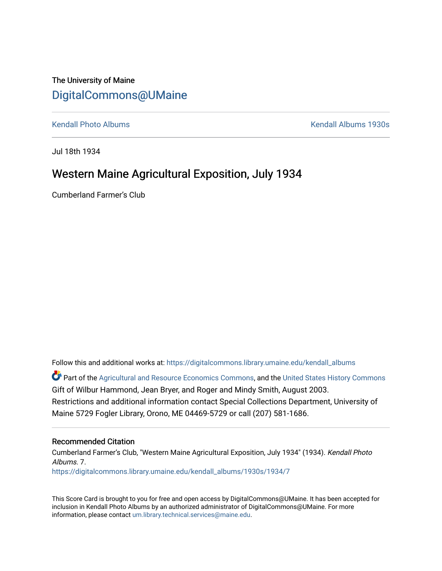## The University of Maine [DigitalCommons@UMaine](https://digitalcommons.library.umaine.edu/)

[Kendall Photo Albums](https://digitalcommons.library.umaine.edu/kendall_albums) [Kendall Albums 1930s](https://digitalcommons.library.umaine.edu/kendall_albums/1930s) 

Jul 18th 1934

## Western Maine Agricultural Exposition, July 1934

Cumberland Farmer's Club

Follow this and additional works at: [https://digitalcommons.library.umaine.edu/kendall\\_albums](https://digitalcommons.library.umaine.edu/kendall_albums?utm_source=digitalcommons.library.umaine.edu%2Fkendall_albums%2F1930s%2F1934%2F7&utm_medium=PDF&utm_campaign=PDFCoverPages) 

Part of the [Agricultural and Resource Economics Commons,](http://network.bepress.com/hgg/discipline/317?utm_source=digitalcommons.library.umaine.edu%2Fkendall_albums%2F1930s%2F1934%2F7&utm_medium=PDF&utm_campaign=PDFCoverPages) and the [United States History Commons](http://network.bepress.com/hgg/discipline/495?utm_source=digitalcommons.library.umaine.edu%2Fkendall_albums%2F1930s%2F1934%2F7&utm_medium=PDF&utm_campaign=PDFCoverPages) Gift of Wilbur Hammond, Jean Bryer, and Roger and Mindy Smith, August 2003. Restrictions and additional information contact Special Collections Department, University of Maine 5729 Fogler Library, Orono, ME 04469-5729 or call (207) 581-1686.

#### Recommended Citation

Cumberland Farmer's Club, "Western Maine Agricultural Exposition, July 1934" (1934). Kendall Photo Albums. 7. [https://digitalcommons.library.umaine.edu/kendall\\_albums/1930s/1934/7](https://digitalcommons.library.umaine.edu/kendall_albums/1930s/1934/7?utm_source=digitalcommons.library.umaine.edu%2Fkendall_albums%2F1930s%2F1934%2F7&utm_medium=PDF&utm_campaign=PDFCoverPages) 

This Score Card is brought to you for free and open access by DigitalCommons@UMaine. It has been accepted for inclusion in Kendall Photo Albums by an authorized administrator of DigitalCommons@UMaine. For more information, please contact [um.library.technical.services@maine.edu](mailto:um.library.technical.services@maine.edu).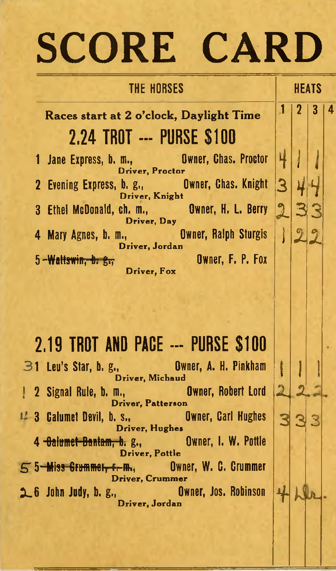# SCORE CARD

 $1 / 2 / 3 / 4$ 

 $\rightarrow$  11.

 $2 - 2 - 2$ 

### THE HORSES HEATS

Races start at 2 o'clock, Daylight Time 2.24 TROT --- PURSE \$100

1 Jane Express, b. m., **Owner, Chas. Proctor** m., Bwner, Chas. Proctor 4 2 Evening Express, b. g ., O w ner, C h a s. Knight Driver, Knight 3 Ethei McDonald, ch. m., **Owner, H. L. Berry** Driver, Day 4 Mary Agnes, b. m., **Owner, Ralph Sturgis** n., **Dwner, Ralph Sturgis** | )<br>Driver, Jordan 5 - Wattswin, b. g., Charles Changes Changes, F. P. Fox Driver, Fox

**2.19 TROT AND PACE --- PURSE \$100**  $\mathfrak{B}$ 1 Leu's Star, b. g., **Owner, A. H. Pinkham** Driver, Michaud <sup>1</sup> <sup>1</sup> <sup>1</sup> 2 Signal Rule, b. m., **Owner, Robert Lord** Driver, Patterson 4 3 Calumet Devil, b. s., **Owner, Carl Hughes** Driver, Hughes 4 <del>Oalumet Bantam, b.</del> g., **Owner, I. W. Pottle** Driver, Pottle  $55$   $M$  iss Crummet,  $r$   $m$ , Owner, W. C. Crummer Driver, Crummer 2 6 John Judy, b. g., **Owner, Jos. Robinson D** Wner, Jos. Robinson 4.<br>Driver, Jordan